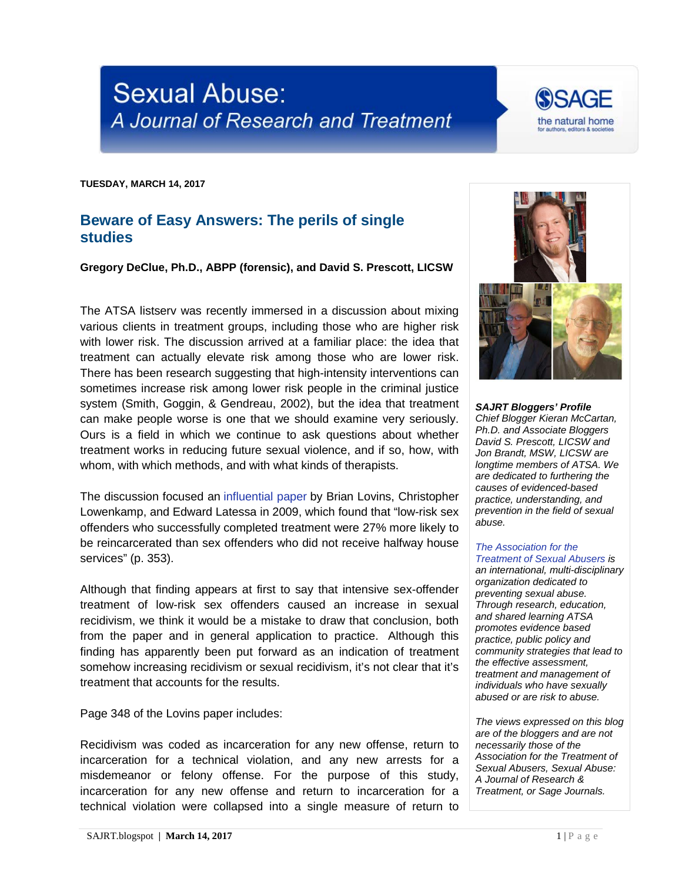## **Sexual Abuse:** A Journal of Research and Treatment

**TUESDAY, MARCH 14, 2017**

## **Beware of Easy Answers: The perils of single studies**

**Gregory DeClue, Ph.D., ABPP (forensic), and David S. Prescott, LICSW**

The ATSA listserv was recently immersed in a discussion about mixing various clients in treatment groups, including those who are higher risk with lower risk. The discussion arrived at a familiar place: the idea that treatment can actually elevate risk among those who are lower risk. There has been research suggesting that high-intensity interventions can sometimes increase risk among lower risk people in the criminal justice system (Smith, Goggin, & Gendreau, 2002), but the idea that treatment can make people worse is one that we should examine very seriously. Ours is a field in which we continue to ask questions about whether treatment works in reducing future sexual violence, and if so, how, with whom, with which methods, and with what kinds of therapists.

The discussion focused an [influential paper](http://cjonline.uc.edu/resources/criminal-justice-research/applying-the-risk-principle-to-sex-offenders-can-treatment-make-some-sex-offenders-worse/) by Brian Lovins, Christopher Lowenkamp, and Edward Latessa in 2009, which found that "low-risk sex offenders who successfully completed treatment were 27% more likely to be reincarcerated than sex offenders who did not receive halfway house services" (p. 353).

Although that finding appears at first to say that intensive sex-offender treatment of low-risk sex offenders caused an increase in sexual recidivism, we think it would be a mistake to draw that conclusion, both from the paper and in general application to practice. Although this finding has apparently been put forward as an indication of treatment somehow increasing recidivism or sexual recidivism, it's not clear that it's treatment that accounts for the results.

Page 348 of the Lovins paper includes:

Recidivism was coded as incarceration for any new offense, return to incarceration for a technical violation, and any new arrests for a misdemeanor or felony offense. For the purpose of this study, incarceration for any new offense and return to incarceration for a technical violation were collapsed into a single measure of return to



**SAGE** 

the natural home

*SAJRT Bloggers' Profile Chief Blogger Kieran McCartan, Ph.D. and Associate Bloggers David S. Prescott, LICSW and Jon Brandt, MSW, LICSW are longtime members of ATSA. We are dedicated to furthering the causes of evidenced-based practice, understanding, and prevention in the field of sexual abuse.*

## *[The Association for the](http://atsa.com/)  [Treatment of Sexual Abusers](http://atsa.com/) is*

*an international, multi-disciplinary organization dedicated to preventing sexual abuse. Through research, education, and shared learning ATSA promotes evidence based practice, public policy and community strategies that lead to the effective assessment, treatment and management of individuals who have sexually abused or are risk to abuse.* 

*The views expressed on this blog are of the bloggers and are not necessarily those of the Association for the Treatment of Sexual Abusers, Sexual Abuse: A Journal of Research & Treatment, or Sage Journals.*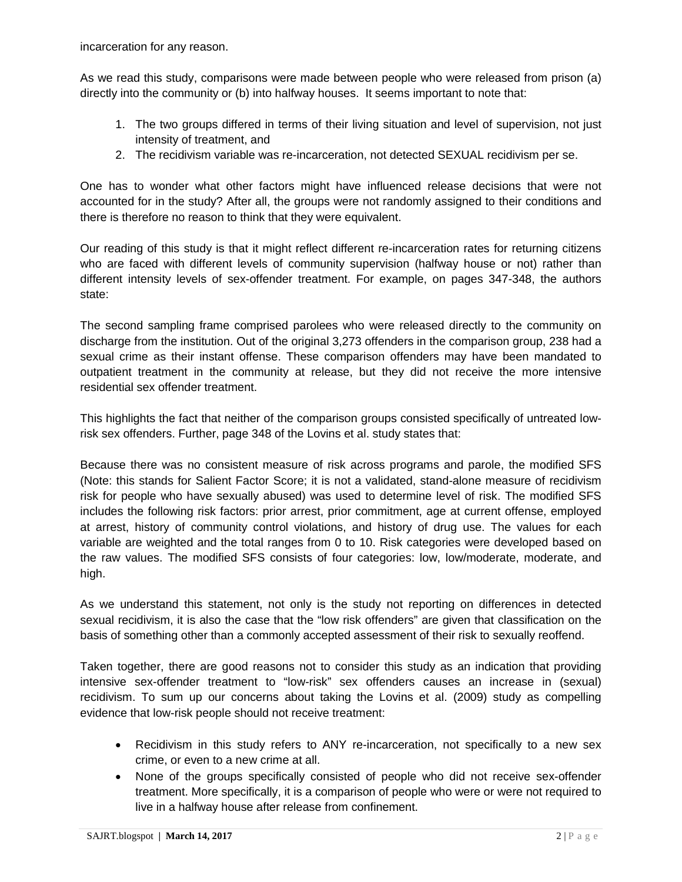incarceration for any reason.

As we read this study, comparisons were made between people who were released from prison (a) directly into the community or (b) into halfway houses. It seems important to note that:

- 1. The two groups differed in terms of their living situation and level of supervision, not just intensity of treatment, and
- 2. The recidivism variable was re-incarceration, not detected SEXUAL recidivism per se.

One has to wonder what other factors might have influenced release decisions that were not accounted for in the study? After all, the groups were not randomly assigned to their conditions and there is therefore no reason to think that they were equivalent.

Our reading of this study is that it might reflect different re-incarceration rates for returning citizens who are faced with different levels of community supervision (halfway house or not) rather than different intensity levels of sex-offender treatment. For example, on pages 347-348, the authors state:

The second sampling frame comprised parolees who were released directly to the community on discharge from the institution. Out of the original 3,273 offenders in the comparison group, 238 had a sexual crime as their instant offense. These comparison offenders may have been mandated to outpatient treatment in the community at release, but they did not receive the more intensive residential sex offender treatment.

This highlights the fact that neither of the comparison groups consisted specifically of untreated lowrisk sex offenders. Further, page 348 of the Lovins et al. study states that:

Because there was no consistent measure of risk across programs and parole, the modified SFS (Note: this stands for Salient Factor Score; it is not a validated, stand-alone measure of recidivism risk for people who have sexually abused) was used to determine level of risk. The modified SFS includes the following risk factors: prior arrest, prior commitment, age at current offense, employed at arrest, history of community control violations, and history of drug use. The values for each variable are weighted and the total ranges from 0 to 10. Risk categories were developed based on the raw values. The modified SFS consists of four categories: low, low/moderate, moderate, and high.

As we understand this statement, not only is the study not reporting on differences in detected sexual recidivism, it is also the case that the "low risk offenders" are given that classification on the basis of something other than a commonly accepted assessment of their risk to sexually reoffend.

Taken together, there are good reasons not to consider this study as an indication that providing intensive sex-offender treatment to "low-risk" sex offenders causes an increase in (sexual) recidivism. To sum up our concerns about taking the Lovins et al. (2009) study as compelling evidence that low-risk people should not receive treatment:

- Recidivism in this study refers to ANY re-incarceration, not specifically to a new sex crime, or even to a new crime at all.
- None of the groups specifically consisted of people who did not receive sex-offender treatment. More specifically, it is a comparison of people who were or were not required to live in a halfway house after release from confinement.